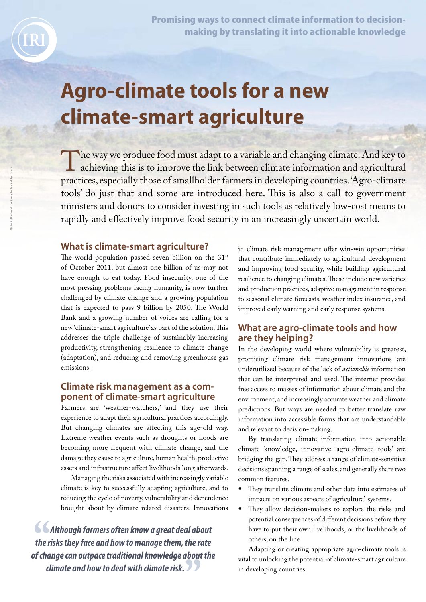Promising ways to connect climate information to decisionmaking by translating it into actionable knowledge

# **Agro-climate tools for a new climate-smart agriculture**

The way we produce food must adapt to a variable and changing climate. And key to achieving this is to improve the link between climate information and agricultural practices, especially those of smallholder farmers in developing countries. 'Agro-climate tools' do just that and some are introduced here. This is also a call to government ministers and donors to consider investing in such tools as relatively low-cost means to rapidly and effectively improve food security in an increasingly uncertain world.

## What is climate-smart agriculture?

The world population passed seven billion on the  $31^{st}$ of October 2011, but almost one billion of us may not have enough to eat today. Food insecurity, one of the most pressing problems facing humanity, is now further challenged by climate change and a growing population that is expected to pass 9 billion by 2050. The World Bank and a growing number of voices are calling for a new 'climate-smart agriculture' as part of the solution. This addresses the triple challenge of sustainably increasing productivity, strengthening resilience to climate change (adaptation), and reducing and removing greenhouse gas emissions.

## Climate risk management as a component of climate-smart agriculture

Farmers are 'weather-watchers,' and they use their experience to adapt their agricultural practices accordingly. But changing climates are affecting this age-old way. Extreme weather events such as droughts or floods are becoming more frequent with climate change, and the damage they cause to agriculture, human health, productive assets and infrastructure affect livelihoods long afterwards.

Managing the risks associated with increasingly variable climate is key to successfully adapting agriculture, and to reducing the cycle of poverty, vulnerability and dependence brought about by climate-related disasters. Innovations

 *Although farmers often know a great deal about the risks they face and how to manage them, the rate of change can outpace traditional knowledge about the climate and how to deal with climate risk.* 

in climate risk management offer win-win opportunities that contribute immediately to agricultural development and improving food security, while building agricultural resilience to changing climates. These include new varieties and production practices, adaptive management in response to seasonal climate forecasts, weather index insurance, and improved early warning and early response systems.

# What are agro-climate tools and how are they helping?

In the developing world where vulnerability is greatest, promising climate risk management innovations are underutilized because of the lack of *actionable* information that can be interpreted and used. The internet provides free access to masses of information about climate and the environment, and increasingly accurate weather and climate predictions. But ways are needed to better translate raw information into accessible forms that are understandable and relevant to decision-making.

By translating climate information into actionable climate knowledge, innovative 'agro-climate tools' are bridging the gap. They address a range of climate-sensitive decisions spanning a range of scales, and generally share two common features.

- They translate climate and other data into estimates of impacts on various aspects of agricultural systems.
- They allow decision-makers to explore the risks and potential consequences of different decisions before they have to put their own livelihoods, or the livelihoods of others, on the line.

Adapting or creating appropriate agro-climate tools is vital to unlocking the potential of climate-smart agriculture in developing countries.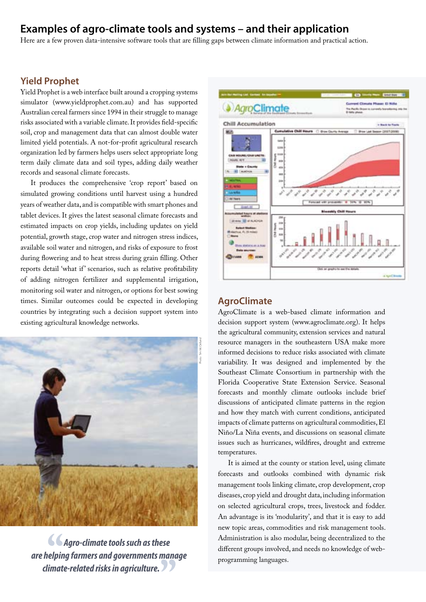# Examples of agro-climate tools and systems – and their application

Here are a few proven data-intensive software tools that are filling gaps between climate information and practical action.

# Yield Prophet

Yield Prophet is a web interface built around a cropping systems simulator (www.yieldprophet.com.au) and has supported Australian cereal farmers since 1994 in their struggle to manage risks associated with a variable climate. It provides field-specific soil, crop and management data that can almost double water limited yield potentials. A not-for-profit agricultural research organization led by farmers helps users select appropriate long term daily climate data and soil types, adding daily weather records and seasonal climate forecasts.

It produces the comprehensive 'crop report' based on simulated growing conditions until harvest using a hundred years of weather data, and is compatible with smart phones and tablet devices. It gives the latest seasonal climate forecasts and estimated impacts on crop yields, including updates on yield potential, growth stage, crop water and nitrogen stress indices, available soil water and nitrogen, and risks of exposure to frost during flowering and to heat stress during grain filling. Other reports detail 'what if' scenarios, such as relative profitability of adding nitrogen fertilizer and supplemental irrigation, monitoring soil water and nitrogen, or options for best sowing times. Similar outcomes could be expected in developing countries by integrating such a decision support system into existing agricultural knowledge networks.



*Agro-climate tools such as these are helping farmers and governments manage climate-related risks in agriculture.* 



#### **AgroClimate**

AgroClimate is a web-based climate information and decision support system (www.agroclimate.org). It helps the agricultural community, extension services and natural resource managers in the southeastern USA make more informed decisions to reduce risks associated with climate variability. It was designed and implemented by the Southeast Climate Consortium in partnership with the Florida Cooperative State Extension Service. Seasonal forecasts and monthly climate outlooks include brief discussions of anticipated climate patterns in the region and how they match with current conditions, anticipated impacts of climate patterns on agricultural commodities, El Niño/La Niña events, and discussions on seasonal climate issues such as hurricanes, wildfires, drought and extreme temperatures.

It is aimed at the county or station level, using climate forecasts and outlooks combined with dynamic risk management tools linking climate, crop development, crop diseases, crop yield and drought data, including information on selected agricultural crops, trees, livestock and fodder. An advantage is its 'modularity', and that it is easy to add new topic areas, commodities and risk management tools. Administration is also modular, being decentralized to the different groups involved, and needs no knowledge of webprogramming languages.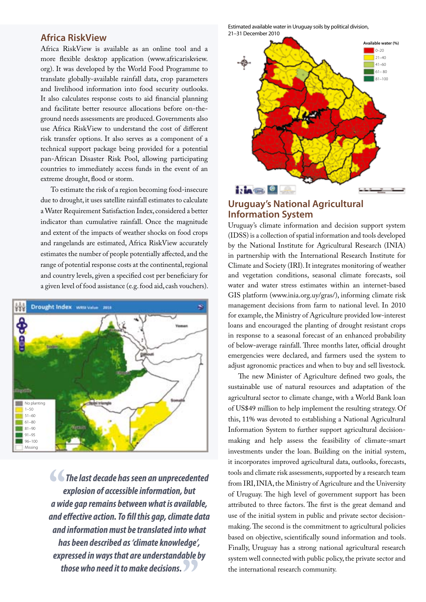## Africa RiskView

Africa RiskView is available as an online tool and a more flexible desktop application (www.africariskview. org). It was developed by the World Food Programme to translate globally-available rainfall data, crop parameters and livelihood information into food security outlooks. It also calculates response costs to aid financial planning and facilitate better resource allocations before on-theground needs assessments are produced. Governments also use Africa RiskView to understand the cost of different risk transfer options. It also serves as a component of a technical support package being provided for a potential pan-African Disaster Risk Pool, allowing participating countries to immediately access funds in the event of an extreme drought, flood or storm.

To estimate the risk of a region becoming food-insecure due to drought, it uses satellite rainfall estimates to calculate a Water Requirement Satisfaction Index, considered a better indicator than cumulative rainfall. Once the magnitude and extent of the impacts of weather shocks on food crops and rangelands are estimated, Africa RiskView accurately estimates the number of people potentially affected, and the range of potential response costs at the continental, regional and country levels, given a specified cost per beneficiary for a given level of food assistance (e.g. food aid, cash vouchers).



 *The last decade has seen an unprecedented explosion of accessible information, but a wide gap remains between what is available, and effective action. To fill this gap, climate data and information must be translated into what has been described as 'climate knowledge', expressed in ways that are understandable by those who need it to make decisions.* 

Estimated available water in Uruguay soils by political division, 21–31 December 2010



# Uruguay's National Agricultural Information System

Uruguay's climate information and decision support system (IDSS) is a collection of spatial information and tools developed by the National Institute for Agricultural Research (INIA) in partnership with the International Research Institute for Climate and Society (IRI). It integrates monitoring of weather and vegetation conditions, seasonal climate forecasts, soil water and water stress estimates within an internet-based GIS platform (www.inia.org.uy/gras/), informing climate risk management decisions from farm to national level. In 2010 for example, the Ministry of Agriculture provided low-interest loans and encouraged the planting of drought resistant crops in response to a seasonal forecast of an enhanced probability of below-average rainfall. Three months later, official drought emergencies were declared, and farmers used the system to adjust agronomic practices and when to buy and sell livestock.

The new Minister of Agriculture defined two goals, the sustainable use of natural resources and adaptation of the agricultural sector to climate change, with a World Bank loan of US\$49 million to help implement the resulting strategy. Of this, 11% was devoted to establishing a National Agricultural Information System to further support agricultural decisionmaking and help assess the feasibility of climate-smart investments under the loan. Building on the initial system, it incorporates improved agricultural data, outlooks, forecasts, tools and climate risk assessments, supported by a research team from IRI, INIA, the Ministry of Agriculture and the University of Uruguay. The high level of government support has been attributed to three factors. The first is the great demand and use of the initial system in public and private sector decisionmaking. The second is the commitment to agricultural policies based on objective, scientifically sound information and tools. Finally, Uruguay has a strong national agricultural research system well connected with public policy, the private sector and the international research community.